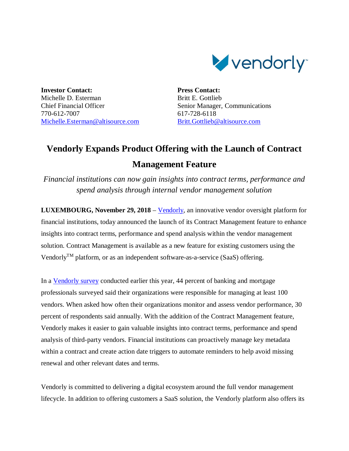

**Investor Contact:** Michelle D. Esterman Chief Financial Officer 770-612-7007 Michelle.Esterman@altisource.com **Press Contact:** Britt E. Gottlieb Senior Manager, Communications 617-728-6118 Britt.Gottlieb@altisource.com

## **Vendorly Expands Product Offering with the Launch of Contract Management Feature**

*Financial institutions can now gain insights into contract terms, performance and spend analysis through internal vendor management solution*

**LUXEMBOURG, November 29, 2018** – Vendorly, an innovative vendor oversight platform for financial institutions, today announced the launch of its Contract Management feature to enhance insights into contract terms, performance and spend analysis within the vendor management solution. Contract Management is available as a new feature for existing customers using the Vendorly<sup>TM</sup> platform, or as an independent software-as-a-service (SaaS) offering.

In a Vendorly survey conducted earlier this year, 44 percent of banking and mortgage professionals surveyed said their organizations were responsible for managing at least 100 vendors. When asked how often their organizations monitor and assess vendor performance, 30 percent of respondents said annually. With the addition of the Contract Management feature, Vendorly makes it easier to gain valuable insights into contract terms, performance and spend analysis of third-party vendors. Financial institutions can proactively manage key metadata within a contract and create action date triggers to automate reminders to help avoid missing renewal and other relevant dates and terms.

Vendorly is committed to delivering a digital ecosystem around the full vendor management lifecycle. In addition to offering customers a SaaS solution, the Vendorly platform also offers its